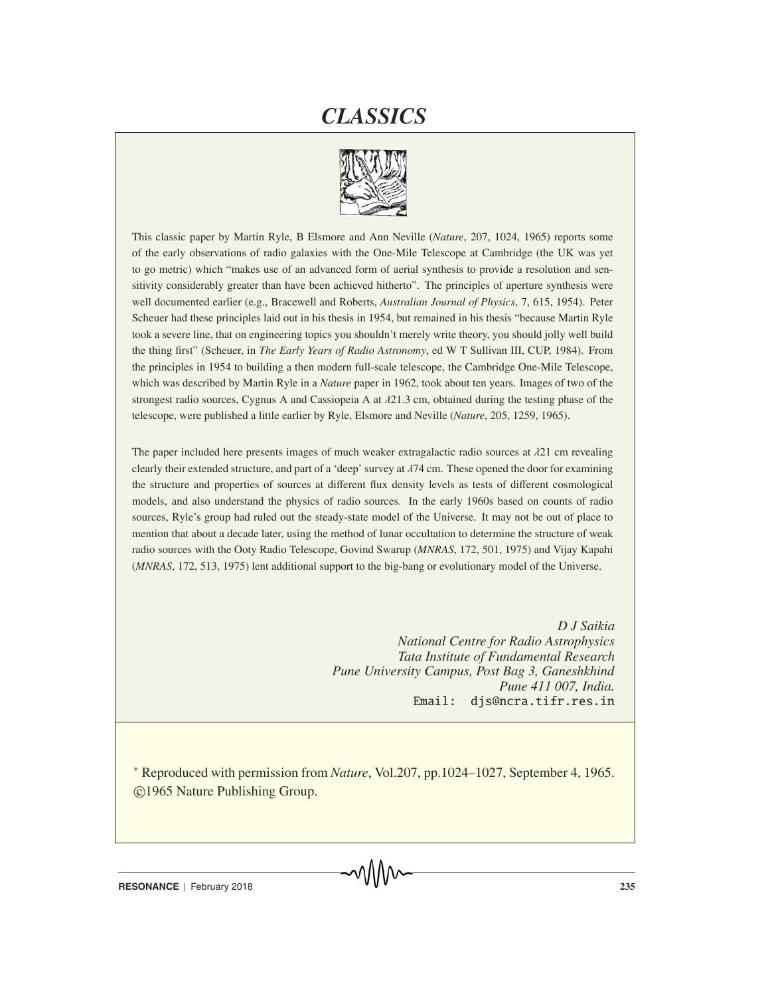# *CLASSICS*



This classic paper by Martin Ryle, B Elsmore and Ann Neville (*Nature*, 207, 1024, 1965) reports some of the early observations of radio galaxies with the One-Mile Telescope at Cambridge (the UK was yet to go metric) which "makes use of an advanced form of aerial synthesis to provide a resolution and sensitivity considerably greater than have been achieved hitherto". The principles of aperture synthesis were well documented earlier (e.g., Bracewell and Roberts, *Australian Journal of Physics*, 7, 615, 1954). Peter Scheuer had these principles laid out in his thesis in 1954, but remained in his thesis "because Martin Ryle took a severe line, that on engineering topics you shouldn't merely write theory, you should jolly well build the thing first" (Scheuer, in *The Early Years of Radio Astronomy*, ed W T Sullivan III, CUP, 1984). From the principles in 1954 to building a then modern full-scale telescope, the Cambridge One-Mile Telescope, which was described by Martin Ryle in a *Nature* paper in 1962, took about ten years. Images of two of the strongest radio sources, Cygnus A and Cassiopeia A at  $\lambda$ 21.3 cm, obtained during the testing phase of the telescope, were published a little earlier by Ryle, Elsmore and Neville (*Nature*, 205, 1259, 1965).

The paper included here presents images of much weaker extragalactic radio sources at  $\lambda$ 21 cm revealing clearly their extended structure, and part of a 'deep' survey at  $\lambda$ 74 cm. These opened the door for examining the structure and properties of sources at different flux density levels as tests of different cosmological models, and also understand the physics of radio sources. In the early 1960s based on counts of radio sources, Ryle's group had ruled out the steady-state model of the Universe. It may not be out of place to mention that about a decade later, using the method of lunar occultation to determine the structure of weak radio sources with the Ooty Radio Telescope, Govind Swarup (*MNRAS*, 172, 501, 1975) and Vijay Kapahi (*MNRAS*, 172, 513, 1975) lent additional support to the big-bang or evolutionary model of the Universe.

> *D J Saikia National Centre for Radio Astrophysics Tata Institute of Fundamental Research Pune University Campus, Post Bag 3, Ganeshkhind Pune 411 007, India.* Email: djs@ncra.tifr.res.in

∗ Reproduced with permission from *Nature*, Vol.207, pp.1024–1027, September 4, 1965. -c 1965 Nature Publishing Group.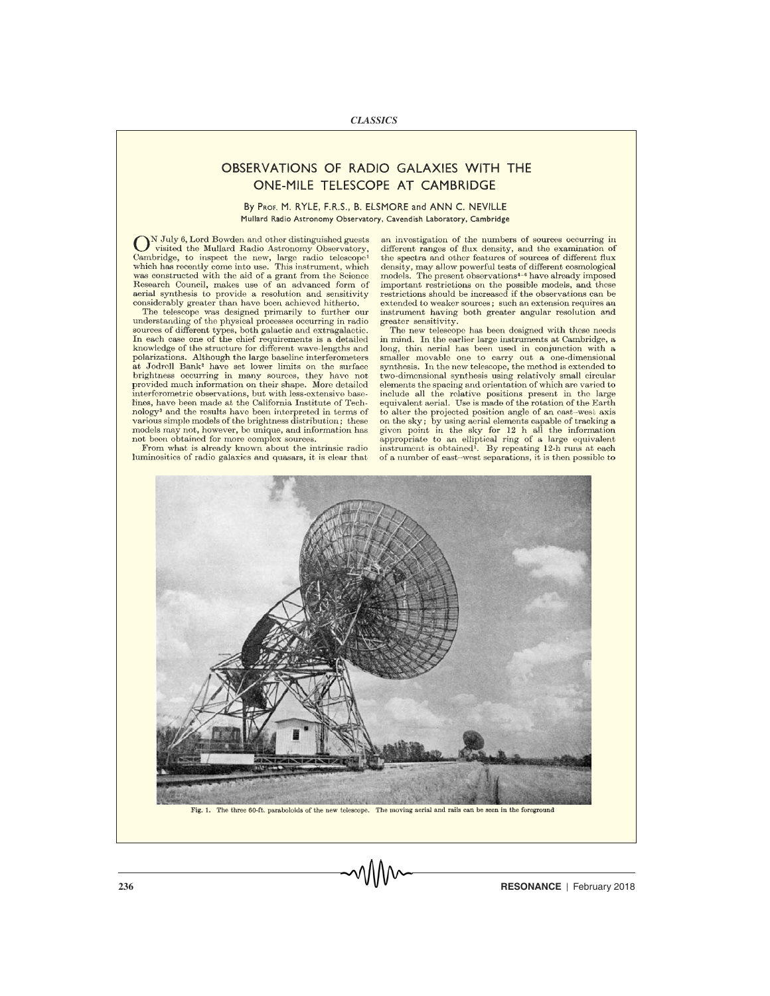## OBSERVATIONS OF RADIO GALAXIES WITH THE ONE-MILE TELESCOPE AT CAMBRIDGE

### By PROF. M. RYLE, F.R.S., B. ELSMORE and ANN C. NEVILLE Mullard Radio Astronomy Observatory, Cavendish Laboratory, Cambridge

N July 6, Lord Bowden and other distinguished guests visited the Mullard Radio Astronomy Observatory, Cambridge, to inspect the new, large radio telescope<sup>1</sup> which has recently come into use. This instrument, which was constructed with the aid of a grant from the Science Research Council, makes use of an advanced form of aerial synthesis to provide a resolution and sensitivity considerably greater than have been achieved hitherto.

The telescope was designed primarily to further our understanding of the physical processes occurring in radio sources of different types, both galactic and extragalactic. In each case one of the chief requirements is a detailed knowledge of the structure for different wave-lengths and polarizations. Although the large baseline interferometers at Jodrell Bank<sup>2</sup> have set lower limits on the surface brightness occurring in many sources, they have not provided much information on their shape. More detailed interferometric observations, but with less-extensive baselines, have been made at the California Institute of Technology<sup>3</sup> and the results have been interpreted in terms of various simple models of the brightness distribution; these models may not, however, be unique, and information has not been obtained for more complex sources.

From what is already known about the intrinsic radio luminosities of radio galaxies and quasars, it is clear that an investigation of the numbers of sources occurring in different ranges of flux density, and the examination of the spectra and other features of sources of different flux density, may allow powerful tests of different cosmological models. The present observations<sup>4-6</sup> have already imposed important restrictions on the possible models, and these restrictions should be increased if the observations can be extended to weaker sources: such an extension requires an instrument having both greater angular resolution and greater sensitivity.

The new telescope has been designed with these needs in mind. In the earlier large instruments at Cambridge, a long, thin aerial has been used in conjunction with a smaller movable one to carry out a one-dimensional synthesis. In the new telescope, the method is extended to two-dimensional synthesis using relatively small circular elements the spacing and orientation of which are varied to include all the relative positions present in the large equivalent aerial. Use is made of the rotation of the Earth to alter the projected position angle of an east-west axis on the sky; by using aerial elements capable of tracking a given point in the sky for 12 h all the information appropriate to an elliptical ring of a large equivalent<br>instrument is obtained. By repeating 12-h runs at each of a number of east-west separations, it is then possible to



Fig. 1. The three 60-ft, paraboloids of the new telescope. The moving aerial and rails can be seen in the foreground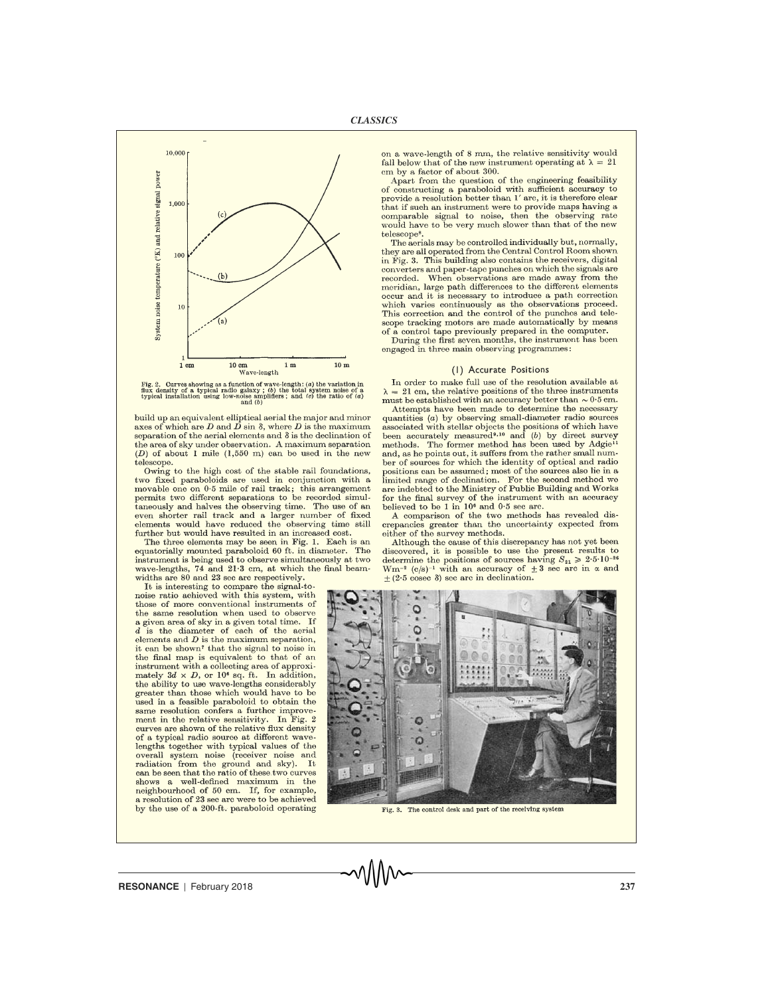

Fig. 2. Curves showing as a function of wave-length: (a) the variation in flux density of a typical radio galaxy; (b) the total system noise of a typical installation using low-noise amplifiers; and (c) the ratio of (a) a

build up an equivalent elliptical aerial the major and minor axes of which are  $D$  and  $\overrightarrow{D}$  sin  $\delta$ , where  $D$  is the maximum separation of the aerial elements and  $\delta$  is the declination of the area of sky under observation. A maximum separation  $(D)$  of about 1 mile  $(1,550 \text{ m})$  can be used in the new telescope.

Owing to the high cost of the stable rail foundations, two fixed paraboloids are used in conjunction with a movable one on 0.5 mile of rail track; this arrangement permits two different separations to be recorded simultaneously and halves the observing time. The use of an even shorter rail track and a larger number of fixed elements would have reduced the observing time still further but would have resulted in an increased cost.

The three elements may be seen in Fig. 1. Each is an equatorially mounted paraboloid 60 ft. in diameter. The instrument is being used to observe simultaneously at two wave-lengths, 74 and 21.3 cm, at which the final beamwidths are 80 and 23 sec arc respectively.

It is interesting to compare the signal-tonoise ratio achieved with this system, with those of more conventional instruments of the same resolution when used to observe a given area of sky in a given total time. If  $d$  is the diameter of each of the aerial elements and  $D$  is the maximum separation, it can be shown' that the signal to noise in the final map is equivalent to that of an instrument with a collecting area of approximately  $3d \times D$ , or 10<sup>6</sup> sq. ft. In addition, the ability to use wave-lengths considerably greater than those which would have to be used in a feasible paraboloid to obtain the same resolution confers a further improvement in the relative sensitivity. In Fig. 2 curves are shown of the relative flux density of a typical radio source at different wavelengths together with typical values of the overall system noise (receiver noise and radiation from the ground and sky). It can be seen that the ratio of these two curves shows a well-defined maximum in the neighbourhood of 50 cm. If, for example, a resolution of 23 sec arc were to be achieved by the use of a 200-ft. paraboloid operating

on a wave-length of 8 mm, the relative sensitivity would fall below that of the new instrument operating at  $\lambda = 21$ em by a factor of about 300.

Apart from the question of the engineering feasibility of constructing a paraboloid with sufficient accuracy to provide a resolution better than 1' arc, it is therefore clear that if such an instrument were to provide maps having a  $\,$ comparable signal to noise, then the observing rate would have to be very much slower than that of the new telescope<sup>8</sup>

The aerials may be controlled individually but, normally, they are all operated from the Central Control Room shown in Fig. 3. This building also contains the receivers, digital converters and paper-tape punches on which the signals are recorded. When observations are made away from the meridian, large path differences to the different elements occur and it is necessary to introduce a path correction which varies continuously as the observations proceed. This correction and the control of the punches and telescope tracking motors are made automatically by means of a control tape previously prepared in the computer.

During the first seven months, the instrument has been engaged in three main observing programmes:

#### (1) Accurate Positions

In order to make full use of the resolution available at  $\lambda = 21$  cm, the relative positions of the three instruments must be established with an accuracy better than  $\sim 0.5$  cm.

Attempts have been made to determine the necessary quantities  $(a)$  by observing small-diameter radio sources associated with stellar objects the positions of which have<br>been accurately measured<sup>9,10</sup> and (b) by direct survey methods. The former method has been used by Adgie<sup>11</sup> and, as he points out, it suffers from the rather small number of sources for which the identity of optical and radio positions can be assumed; most of the sources also lie in a limited range of declination. For the second method we are indebted to the Ministry of Public Building and Works for the final survey of the instrument with an accuracy believed to be 1 in 10<sup>6</sup> and 0.5 sec arc.

A comparison of the two methods has revealed discrepancies greater than the uncertainty expected from either of the survey methods.

Although the cause of this discrepancy has not yet been discovered, it is possible to use the present results to determine the positions of sources having  $S_{21} \ge 2.5 \cdot 10^{-26}$ W<sub>m</sub><sup>-2</sup> (c/s)<sup>-1</sup> with an accuracy of  $\pm 3$  sec arc in  $\alpha$  and  $\pm$  (2.5 cosec  $\delta$ ) sec arc in declination.



Fig. 3. The control desk and part of the receiving system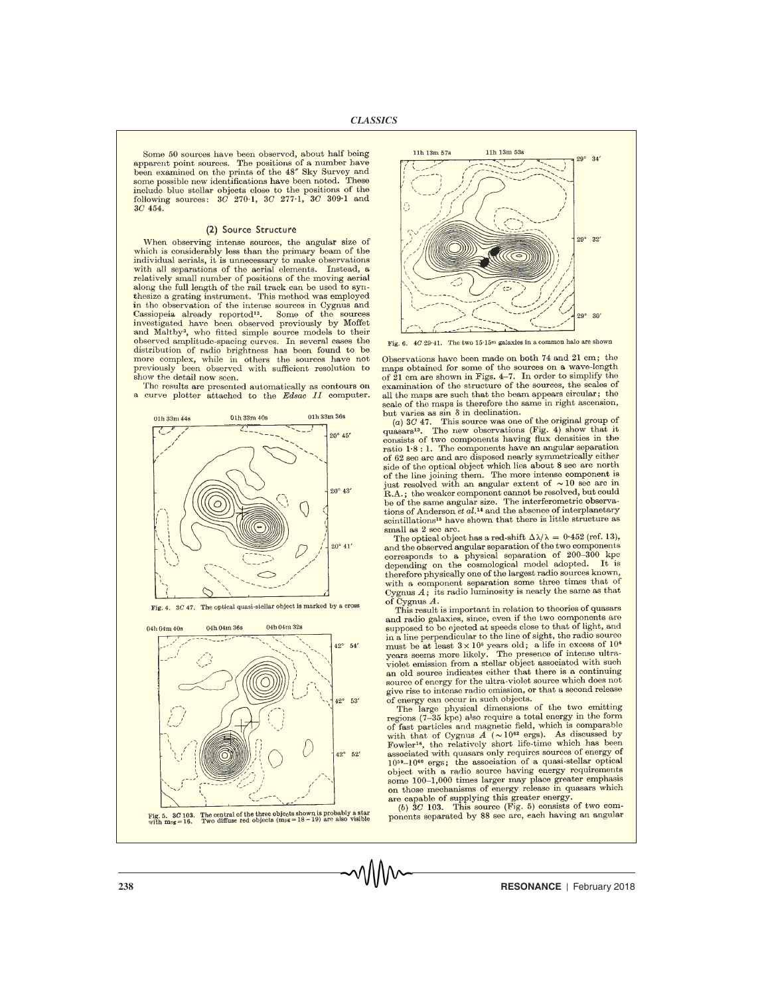Some 50 sources have been observed, about half being apparent point sources. The positions of a number have been examined on the prints of the 48" Sky Survey and some possible new identifications have been noted. These include blue stellar objects close to the positions of the following sources:  $3C$  270.1,  $3C$  277.1,  $3C$  309.1 and 3C 454.

#### (2) Source Structure

When observing intense sources, the angular size of which is considerably less than the primary beam of the individual aerials, it is unnecessary to make observations with all separations of the aerial elements. Instead, a relatively small number of positions of the moving aerial along the full length of the rail track can be used to synthesize a grating instrument. This method was employed in the observation of the intense sources in Cygnus and Cassiopeia already reported<sup>12</sup>. Some of the sources<br>investigated have been observed previously by Moffet and Maltby<sup>3</sup>, who fitted simple source models to their observed amplitude-spacing curves. In several cases the distribution of radio brightness has been found to be more complex, while in others the sources have not previously been observed with sufficient resolution to show the detail now seen.

The results are presented automatically as contours on a curve plotter attached to the Edsac II computer.



Fig. 4. 3C 47. The optical quasi-stellar object is marked by a cross



Fig. 5. 80 103. The central of the three objects shown is probably a star<br>with mpg = 16. Two diffuse red objects (mpg = 18 - 19) are also visible



Fig. 6. 4C 29.41. The two 15.15m galaxies in a common halo are shown

Observations have been made on both 74 and 21 cm; the maps obtained for some of the sources on a wave-length<br>of 21 cm are shown in Figs. 4-7. In order to simplify the examination of the structure of the sources, the scales of all the maps are such that the beam appears circular; the scale of the maps is therefore the same in right ascension, but varies as  $\sin \delta$  in declination.

ou varies as sm o in documentation.<br>
(a) 30  $47$ . This source was one of the original group of<br>
quasars<sup>13</sup>. The new observations (Fig. 4) show that it<br>
consists of two components having flux densities in the ratio 1.8 : 1. The components have an angular separation of 62 sec arc and are disposed nearly symmetrically either side of the optical object which lies about 8 sec are north of the line joining them. The more intense component is iust resolved with an angular extent of  $\sim 10$  sec arc in R.A.; the weaker component cannot be resolved, but could be of the same angular size. The interferometric observations of Anderson et al.<sup>14</sup> and the absence of interplanetary scintillations<sup>15</sup> have shown that there is little structure as small as 2 sec arc.

The optical object has a red-shift  $\Delta\lambda/\lambda = 0.452$  (ref. 13), and the observed angular separation of the two components corresponds to a physical separation of 200-300 kpc<br>depending on the cosmological model adopted. It is therefore physically one of the largest radio sources known, with a component separation some three times that of Cygnus  $A$ ; its radio luminosity is nearly the same as that of Cygnus  $A$ .

This result is important in relation to theories of quasars and radio galaxies, since, even if the two components are supposed to be ejected at speeds close to that of light, and in a line perpendicular to the line of sight, the radio source must be at least  $3 \times 10^5$  years old; a life in excess of  $10^6$ years seems more likely. The presence of intense ultraviolet emission from a stellar object associated with such an old source indicates either that there is a continuing source of energy for the ultra-violet source which does not give rise to intense radio emission, or that a second release of energy can occur in such objects.

The large physical dimensions of the two emitting regions (7-35 kpc) also require a total energy in the form of fast particles and magnetic field, which is comparable with that of Cygnus  $A \sim 10^{62}$  ergs). As discussed by Fowler<sup>16</sup>, the relatively short life-time which has been associated with quasars only requires sources of energy of 1059-1060 ergs; the association of a quasi-stellar optical object with a radio source having energy requirements some 100-1,000 times larger may place greater emphasis on those mechanisms of energy release in quasars which

are capable of supplying this greater energy.<br>(b)  $3C$  103. This source (Fig. 5) consists of two components separated by 88 sec arc, each having an angular